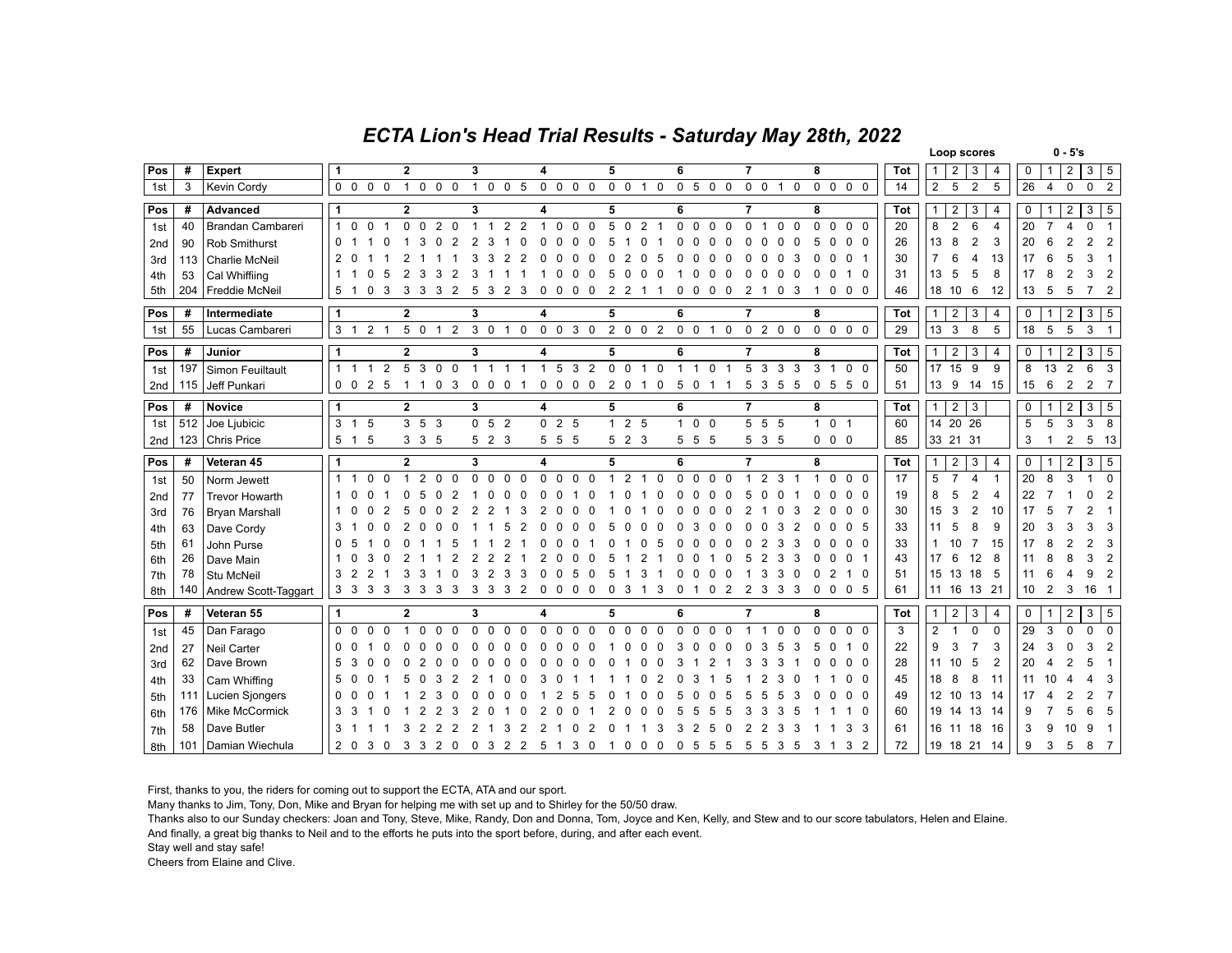## *ECTA Lion's Head Trial Results - Saturday May 28th, 2022*

|                 |     |                      |                                                                       |                                             |                                                  |                                                     |                                                             |                                                                 |                                  |                                                            |     | Loop scores                                           | $0 - 5's$                                                            |
|-----------------|-----|----------------------|-----------------------------------------------------------------------|---------------------------------------------|--------------------------------------------------|-----------------------------------------------------|-------------------------------------------------------------|-----------------------------------------------------------------|----------------------------------|------------------------------------------------------------|-----|-------------------------------------------------------|----------------------------------------------------------------------|
| Pos             | #   | Expert               |                                                                       | $\overline{2}$                              | 3                                                | 4                                                   | 5                                                           | 6                                                               | $\overline{7}$                   | 8                                                          | Tot | 2<br>3<br>$\mathbf{1}$<br>4                           | $\overline{2}$<br>$3 \mid 5$<br>0<br>$\mathbf{1}$                    |
| 1st             | 3   | Kevin Cordy          | $0\quad 0$<br>$0\quad 0$                                              | 1 0 0 0                                     | $\overline{1}$<br>$0\quad 0\quad 5$              | $0\quad 0\quad 0\quad 0$                            | 0 0 1 0                                                     | $0 5 0 0$                                                       | $0\quad 0$<br>1 <sub>0</sub>     | $\Omega$<br>$\mathbf{0}$<br>$\mathbf{0}$<br>$\overline{0}$ | 14  | $\overline{2}$<br>5<br>$\overline{2}$<br>5            | 26<br>$\mathbf 0$<br>$\mathbf 0$<br>$\overline{4}$<br>$\overline{2}$ |
| Pos             | #   | Advanced             | $\overline{1}$                                                        | $\overline{2}$                              | 3                                                | 4                                                   | 5                                                           | 6                                                               | $\overline{7}$                   | 8                                                          | Tot | $\overline{2}$<br>3<br>$\mathbf{1}$<br>4              | $\overline{2}$<br>$\mathbf{3}$<br>5  <br>0                           |
| 1st             | 40  | Brandan Cambareri    | $\overline{1}$<br>$\Omega$<br>$\Omega$<br>$\overline{1}$              | $0\quad 0$<br>$\overline{2}$<br>$\Omega$    | 2<br>$\overline{2}$                              | $\Omega$<br>$\Omega$<br>$\Omega$<br>1               | 5<br>$\Omega$<br>$\overline{2}$<br>$\overline{1}$           | $\mathbf 0$<br>$\Omega$<br>$\mathbf 0$<br>$\Omega$              | $\Omega$<br>$\Omega$<br>$\Omega$ | $\Omega$<br>$\mathbf{0}$<br>$\Omega$<br>$\mathbf 0$        | 20  | 8<br>6<br>$\overline{2}$<br>$\overline{4}$            | 20<br>$\overline{7}$<br>4<br>$\Omega$                                |
| 2 <sub>nd</sub> | 90  | Rob Smithurst        | $\mathbf{0}$                                                          |                                             |                                                  |                                                     |                                                             |                                                                 |                                  | 0<br>$\Omega$                                              | 26  | 13<br>8<br>$\overline{2}$<br>3                        | 20<br>2<br>$\overline{2}$                                            |
| 3rd             | 113 | Charlie McNeil       | 2                                                                     |                                             |                                                  |                                                     |                                                             |                                                                 |                                  |                                                            | 30  | 13<br>$\overline{7}$<br>$\overline{4}$                | 17<br>3                                                              |
| 4th             | 53  | Cal Whiffiing        | -1                                                                    |                                             |                                                  |                                                     |                                                             |                                                                 |                                  | 0                                                          | 31  | 13<br>5<br>5<br>8                                     | 17<br>8<br>3<br>$\overline{2}$                                       |
| 5th             | 204 | Freddie McNeil       | 5<br>0<br>3<br>-1                                                     | 3<br>3<br>3<br>2                            | 5<br>3<br>2<br>3                                 | 0<br>0                                              | 2<br>2                                                      | 0<br>0<br>0<br>0                                                | 2<br>0<br>3                      | 0<br>0<br>0                                                | 46  | 18<br>10<br>6<br>12                                   | 13<br>5<br>5<br>$\overline{7}$<br>2                                  |
| Pos             | #   | Intermediate         | $\mathbf{1}$                                                          | $\overline{2}$                              | 3                                                | 4                                                   | 5                                                           | 6                                                               | $\overline{7}$                   | 8                                                          | Tot | $\overline{2}$<br>3<br>$\mathbf{1}$<br>4              | 0<br>2<br>$3 \mid 5$<br>1                                            |
| 1st             | 55  | Lucas Cambareri      | 3 <sup>1</sup><br>2 <sub>1</sub>                                      | 5 0 1 2                                     | $3\quad0$<br>$1\quad 0$                          | $0 \t0 \t3 \t0$                                     | 2 0 0 2                                                     | 0 0 1 0                                                         | 0200                             | $\Omega$<br>$0\quad 0\quad 0$                              | 29  | 13<br>5<br>$\mathbf{3}$<br>8                          | 18<br>5<br>5<br>3<br>$\overline{1}$                                  |
| Pos             | #   | Junior               | $\vert$ 1                                                             | $\overline{2}$                              | 3                                                | 4                                                   | 5                                                           | 6                                                               | 7                                | 8                                                          | Tot | $\overline{2}$<br>3<br>4<br>$\mathbf{1}$              | 3<br>0<br>$\overline{\mathbf{2}}$<br>5                               |
| 1st             | 197 | Simon Feuiltault     | $\overline{2}$<br>$\overline{1}$<br>$\overline{1}$<br>$\overline{1}$  | 5<br>3<br>$\Omega$<br>$\overline{0}$        | $\mathbf{1}$<br>$\overline{1}$<br>$\overline{1}$ | 5<br>$\mathbf{3}$<br>$\overline{2}$<br>$\mathbf{1}$ | $\mathbf 0$<br>$\mathbf 0$<br>$\mathbf 0$<br>$\overline{1}$ | $\mathbf{1}$<br>$\overline{1}$<br>$\mathbf 0$<br>$\overline{1}$ | 5<br>3<br>3<br>3                 | 3<br>$\Omega$<br>$\Omega$<br>$\mathbf{1}$                  | 50  | 15<br>9<br>9<br>17                                    | 13<br>2<br>6<br>8<br>3                                               |
| 2nd             | 115 | Jeff Punkari         | $0\quad 0$<br>2 5                                                     | 0 <sub>3</sub><br>$\mathbf{1}$<br>- 1       | $\mathbf 0$<br>$0\quad 0$<br>-1                  | $0\quad 0\quad 0\quad 0$                            | 2 0 1 0                                                     | 5 0<br>1 1                                                      | 5 3 5 5                          | 0<br>5 5 0                                                 | 51  | 13<br>9<br>15<br>14                                   | 15<br>$\overline{2}$<br>$\overline{2}$<br>6<br>- 7                   |
| Pos             | #   | Novice               | $\overline{1}$                                                        | $\overline{2}$                              | 3                                                | 4                                                   | 5                                                           | 6                                                               | $\overline{7}$                   | 8                                                          | Tot | $\overline{2}$<br>3<br>$\mathbf{1}$                   | $\overline{3}$<br>0<br>5<br>2<br>1                                   |
| 1st             | 512 | Joe Ljubicic         | 3 <sub>1</sub><br>5                                                   | $3\quad 5\quad 3$                           | 5 <sub>2</sub><br>0                              | 0 <sub>2</sub><br>5                                 | $125$                                                       | $1\quad 0$<br>$\overline{0}$                                    | 5<br>$5\quad 5$                  | $\mathbf{1}$<br>0 <sub>1</sub>                             | 60  | 14 20 26                                              | 5<br>5<br>3<br>3<br>8                                                |
| 2nd             |     | 123 Chris Price      | 5 <sub>1</sub><br>-5                                                  | 335                                         | 523                                              | 555                                                 | 523                                                         | 5 5<br>- 5                                                      | 5 3 5                            | $0\quad 0$<br>$\mathbf 0$                                  | 85  | 33 21 31                                              | 3<br>$\overline{2}$<br>5<br>13                                       |
|                 |     |                      |                                                                       |                                             |                                                  |                                                     |                                                             |                                                                 |                                  |                                                            |     |                                                       |                                                                      |
| Pos             | #   | Veteran 45           | $\overline{1}$                                                        | $\overline{2}$                              | 3                                                | 4                                                   | 5                                                           | 6                                                               | $\overline{7}$                   | 8                                                          | Tot | $\overline{2}$<br>3<br>$\overline{4}$<br>$\mathbf{1}$ | $\overline{2}$<br>$3 \mid 5$<br>0                                    |
| 1st             | 50  | Norm Jewett          | $\overline{1}$<br>$\mathbf{0}$<br>$\Omega$<br>$\overline{\mathbf{1}}$ | $\overline{1}$<br>2<br>$\Omega$<br>$\Omega$ | $\Omega$<br>$\Omega$<br>$\Omega$<br>$\Omega$     | $\Omega$<br>$\Omega$<br>$\Omega$<br>$\Omega$        | $\mathfrak{p}$<br>$\Omega$<br>-1                            | $\Omega$<br>$\Omega$<br>$\Omega$<br>$\Omega$                    | 2<br>3                           | $\Omega$<br>$\Omega$<br>$\Omega$                           | 17  | 5<br>$\overline{7}$<br>4<br>$\mathbf{1}$              | 20<br>8<br>3<br>$\overline{1}$<br>$\Omega$                           |
| 2nd             | 77  | Trevor Howarth       |                                                                       |                                             |                                                  |                                                     |                                                             |                                                                 |                                  | 0                                                          | 19  | 2<br>5<br>8<br>4                                      | 22<br>n<br>2                                                         |
| 3rd             | 76  | Bryan Marshall       |                                                                       |                                             |                                                  |                                                     |                                                             |                                                                 |                                  | 0                                                          | 30  | $\overline{c}$<br>15<br>10<br>З                       | 17                                                                   |
| 4th             | 63  | Dave Cordy           | 3                                                                     |                                             |                                                  |                                                     |                                                             |                                                                 |                                  | 5                                                          | 33  | 8<br>9<br>11<br>5                                     | 20<br>З<br>3                                                         |
| 5th             | 61  | John Purse           | $\Omega$                                                              |                                             |                                                  |                                                     |                                                             |                                                                 |                                  | $\Omega$                                                   | 33  | $\overline{7}$<br>15<br>10                            | 17<br>3                                                              |
| 6th             | 26  | Dave Main            | 3                                                                     |                                             |                                                  |                                                     |                                                             |                                                                 |                                  |                                                            | 43  | 12<br>17<br>8<br>ĥ                                    | 3<br>2<br>11                                                         |
| 7th             | 78  | Stu McNeil           | 3<br>$\overline{2}$<br>$\overline{2}$                                 |                                             |                                                  |                                                     |                                                             |                                                                 | 3                                | 2<br><sup>0</sup><br>0                                     | 51  | 15<br>13<br>18<br>5                                   | 2<br>11<br>g                                                         |
| 8th             | 140 | Andrew Scott-Taggart | 3 <sub>3</sub><br>3<br>-3                                             | 3<br>3<br>3<br>3                            | 3<br>3<br>3<br>2                                 | 0<br>0<br>0                                         | 3<br>3<br>0<br>-1                                           | 0<br>2<br>0                                                     | 3<br>2<br>3<br>3                 | 5<br>0<br>0<br>$\mathbf 0$                                 | 61  | 11<br>16<br>13<br>-21                                 | 10<br>2<br>3<br>16                                                   |
| Pos             | #   | Veteran 55           | $\overline{\mathbf{1}}$                                               | $\overline{2}$                              | 3                                                | 4                                                   | 5                                                           | 6                                                               | $\overline{7}$                   | 8                                                          | Tot | $\overline{2}$<br>3<br>4<br>1                         | 3<br>5<br>$\overline{2}$<br>0<br>-1                                  |
| 1st             | 45  | Dan Farago           | 0 <sub>0</sub><br>$\Omega$<br>$\Omega$                                | $\Omega$<br>$\Omega$                        | $\Omega$<br>$\Omega$<br>$\Omega$                 | $\Omega$<br>$\Omega$<br>$\Omega$<br>$\Omega$        | $\Omega$<br>$\Omega$<br>$\Omega$<br>$\Omega$                | $\Omega$<br>$\Omega$<br>$\Omega$<br>$\Omega$                    | $\Omega$<br>$\Omega$             | $\Omega$<br>$\Omega$<br>$\Omega$<br>$\Omega$               | 3   | 2<br>$\Omega$<br>$\Omega$                             | 29<br>3<br>$\Omega$<br>$\Omega$<br>$\mathbf{0}$                      |
| 2 <sub>nd</sub> | 27  | Neil Carter          | 0 <sub>0</sub>                                                        |                                             |                                                  |                                                     |                                                             |                                                                 |                                  | 0                                                          | 22  | 9<br>3<br>$\overline{7}$<br>3                         | 24<br>3<br>2<br>3                                                    |
| 3rd             | 62  | Dave Brown           | 5                                                                     |                                             |                                                  |                                                     |                                                             |                                                                 |                                  | 0                                                          | 28  | 5<br>2<br>11<br>10                                    | 20                                                                   |
| 4th             | 33  | Cam Whiffing         | 5                                                                     |                                             |                                                  |                                                     |                                                             |                                                                 |                                  | $\Omega$                                                   | 45  | 18<br>8<br>8<br>11                                    | 11<br>3                                                              |
| 5th             | 111 | Lucien Sjongers      | $\Omega$                                                              |                                             |                                                  |                                                     |                                                             |                                                                 |                                  | $\Omega$                                                   | 49  | 12 <sup>2</sup><br>10<br>13<br>14                     | 2<br>17<br>7                                                         |
| 6th             | 176 | Mike McCormick       | 3<br>3                                                                |                                             |                                                  |                                                     |                                                             |                                                                 |                                  |                                                            | 60  | 19<br>13<br>14<br>14                                  | 9<br>6<br>5                                                          |
| 7th             | 58  | Dave Butler          | 3                                                                     |                                             |                                                  |                                                     |                                                             |                                                                 | 3                                | 3                                                          | 61  | 16<br>18<br>11<br>16                                  | 3                                                                    |

First, thanks to you, the riders for coming out to support the ECTA, ATA and our sport.

Many thanks to Jim, Tony, Don, Mike and Bryan for helping me with set up and to Shirley for the 50/50 draw.

Thanks also to our Sunday checkers: Joan and Tony, Steve, Mike, Randy, Don and Donna, Tom, Joyce and Ken, Kelly, and Stew and to our score tabulators, Helen and Elaine.

And finally, a great big thanks to Neil and to the efforts he puts into the sport before, during, and after each event.

Stay well and stay safe!

Cheers from Elaine and Clive.